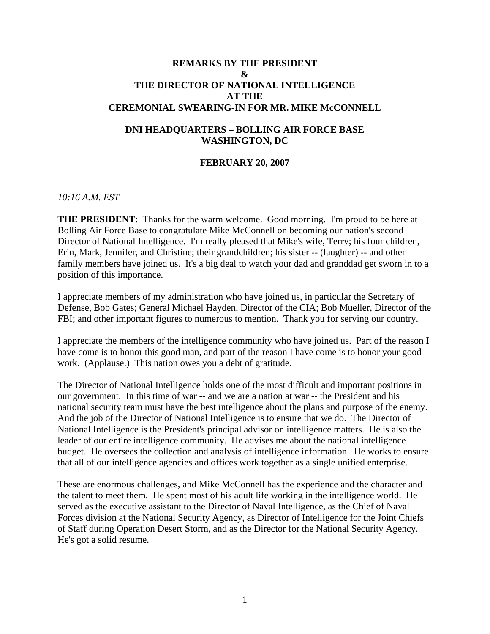## **REMARKS BY THE PRESIDENT & THE DIRECTOR OF NATIONAL INTELLIGENCE AT THE CEREMONIAL SWEARING-IN FOR MR. MIKE McCONNELL**

## **DNI HEADQUARTERS – BOLLING AIR FORCE BASE WASHINGTON, DC**

## **FEBRUARY 20, 2007**

## *10:16 A.M. EST*

**THE PRESIDENT**: Thanks for the warm welcome. Good morning. I'm proud to be here at Bolling Air Force Base to congratulate Mike McConnell on becoming our nation's second Director of National Intelligence. I'm really pleased that Mike's wife, Terry; his four children, Erin, Mark, Jennifer, and Christine; their grandchildren; his sister -- (laughter) -- and other family members have joined us. It's a big deal to watch your dad and granddad get sworn in to a position of this importance.

I appreciate members of my administration who have joined us, in particular the Secretary of Defense, Bob Gates; General Michael Hayden, Director of the CIA; Bob Mueller, Director of the FBI; and other important figures to numerous to mention. Thank you for serving our country.

I appreciate the members of the intelligence community who have joined us. Part of the reason I have come is to honor this good man, and part of the reason I have come is to honor your good work. (Applause.) This nation owes you a debt of gratitude.

The Director of National Intelligence holds one of the most difficult and important positions in our government. In this time of war -- and we are a nation at war -- the President and his national security team must have the best intelligence about the plans and purpose of the enemy. And the job of the Director of National Intelligence is to ensure that we do. The Director of National Intelligence is the President's principal advisor on intelligence matters. He is also the leader of our entire intelligence community. He advises me about the national intelligence budget. He oversees the collection and analysis of intelligence information. He works to ensure that all of our intelligence agencies and offices work together as a single unified enterprise.

These are enormous challenges, and Mike McConnell has the experience and the character and the talent to meet them. He spent most of his adult life working in the intelligence world. He served as the executive assistant to the Director of Naval Intelligence, as the Chief of Naval Forces division at the National Security Agency, as Director of Intelligence for the Joint Chiefs of Staff during Operation Desert Storm, and as the Director for the National Security Agency. He's got a solid resume.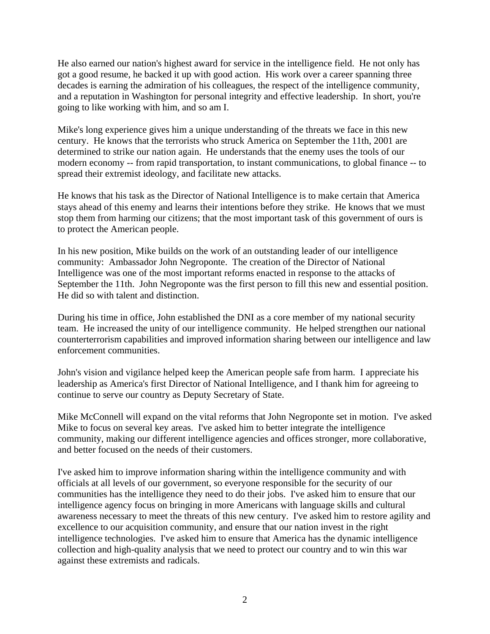He also earned our nation's highest award for service in the intelligence field. He not only has got a good resume, he backed it up with good action. His work over a career spanning three decades is earning the admiration of his colleagues, the respect of the intelligence community, and a reputation in Washington for personal integrity and effective leadership. In short, you're going to like working with him, and so am I.

Mike's long experience gives him a unique understanding of the threats we face in this new century. He knows that the terrorists who struck America on September the 11th, 2001 are determined to strike our nation again. He understands that the enemy uses the tools of our modern economy -- from rapid transportation, to instant communications, to global finance -- to spread their extremist ideology, and facilitate new attacks.

He knows that his task as the Director of National Intelligence is to make certain that America stays ahead of this enemy and learns their intentions before they strike. He knows that we must stop them from harming our citizens; that the most important task of this government of ours is to protect the American people.

In his new position, Mike builds on the work of an outstanding leader of our intelligence community: Ambassador John Negroponte. The creation of the Director of National Intelligence was one of the most important reforms enacted in response to the attacks of September the 11th. John Negroponte was the first person to fill this new and essential position. He did so with talent and distinction.

During his time in office, John established the DNI as a core member of my national security team. He increased the unity of our intelligence community. He helped strengthen our national counterterrorism capabilities and improved information sharing between our intelligence and law enforcement communities.

John's vision and vigilance helped keep the American people safe from harm. I appreciate his leadership as America's first Director of National Intelligence, and I thank him for agreeing to continue to serve our country as Deputy Secretary of State.

Mike McConnell will expand on the vital reforms that John Negroponte set in motion. I've asked Mike to focus on several key areas. I've asked him to better integrate the intelligence community, making our different intelligence agencies and offices stronger, more collaborative, and better focused on the needs of their customers.

I've asked him to improve information sharing within the intelligence community and with officials at all levels of our government, so everyone responsible for the security of our communities has the intelligence they need to do their jobs. I've asked him to ensure that our intelligence agency focus on bringing in more Americans with language skills and cultural awareness necessary to meet the threats of this new century. I've asked him to restore agility and excellence to our acquisition community, and ensure that our nation invest in the right intelligence technologies. I've asked him to ensure that America has the dynamic intelligence collection and high-quality analysis that we need to protect our country and to win this war against these extremists and radicals.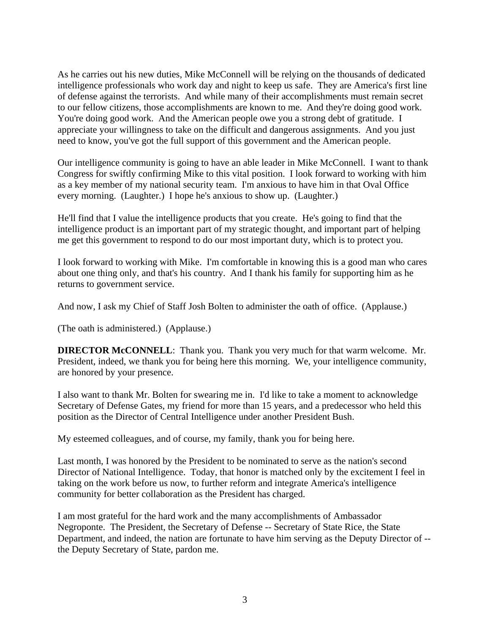As he carries out his new duties, Mike McConnell will be relying on the thousands of dedicated intelligence professionals who work day and night to keep us safe. They are America's first line of defense against the terrorists. And while many of their accomplishments must remain secret to our fellow citizens, those accomplishments are known to me. And they're doing good work. You're doing good work. And the American people owe you a strong debt of gratitude. I appreciate your willingness to take on the difficult and dangerous assignments. And you just need to know, you've got the full support of this government and the American people.

Our intelligence community is going to have an able leader in Mike McConnell. I want to thank Congress for swiftly confirming Mike to this vital position. I look forward to working with him as a key member of my national security team. I'm anxious to have him in that Oval Office every morning. (Laughter.) I hope he's anxious to show up. (Laughter.)

He'll find that I value the intelligence products that you create. He's going to find that the intelligence product is an important part of my strategic thought, and important part of helping me get this government to respond to do our most important duty, which is to protect you.

I look forward to working with Mike. I'm comfortable in knowing this is a good man who cares about one thing only, and that's his country. And I thank his family for supporting him as he returns to government service.

And now, I ask my Chief of Staff Josh Bolten to administer the oath of office. (Applause.)

(The oath is administered.) (Applause.)

**DIRECTOR McCONNELL**: Thank you. Thank you very much for that warm welcome. Mr. President, indeed, we thank you for being here this morning. We, your intelligence community, are honored by your presence.

I also want to thank Mr. Bolten for swearing me in. I'd like to take a moment to acknowledge Secretary of Defense Gates, my friend for more than 15 years, and a predecessor who held this position as the Director of Central Intelligence under another President Bush.

My esteemed colleagues, and of course, my family, thank you for being here.

Last month, I was honored by the President to be nominated to serve as the nation's second Director of National Intelligence. Today, that honor is matched only by the excitement I feel in taking on the work before us now, to further reform and integrate America's intelligence community for better collaboration as the President has charged.

I am most grateful for the hard work and the many accomplishments of Ambassador Negroponte. The President, the Secretary of Defense -- Secretary of State Rice, the State Department, and indeed, the nation are fortunate to have him serving as the Deputy Director of - the Deputy Secretary of State, pardon me.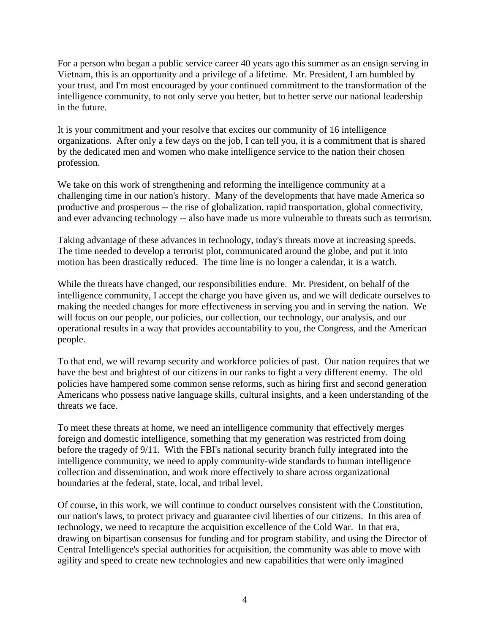For a person who began a public service career 40 years ago this summer as an ensign serving in Vietnam, this is an opportunity and a privilege of a lifetime. Mr. President, I am humbled by your trust, and I'm most encouraged by your continued commitment to the transformation of the intelligence community, to not only serve you better, but to better serve our national leadership in the future.

It is your commitment and your resolve that excites our community of 16 intelligence organizations. After only a few days on the job, I can tell you, it is a commitment that is shared by the dedicated men and women who make intelligence service to the nation their chosen profession.

We take on this work of strengthening and reforming the intelligence community at a challenging time in our nation's history. Many of the developments that have made America so productive and prosperous -- the rise of globalization, rapid transportation, global connectivity, and ever advancing technology -- also have made us more vulnerable to threats such as terrorism.

Taking advantage of these advances in technology, today's threats move at increasing speeds. The time needed to develop a terrorist plot, communicated around the globe, and put it into motion has been drastically reduced. The time line is no longer a calendar, it is a watch.

While the threats have changed, our responsibilities endure. Mr. President, on behalf of the intelligence community, I accept the charge you have given us, and we will dedicate ourselves to making the needed changes for more effectiveness in serving you and in serving the nation. We will focus on our people, our policies, our collection, our technology, our analysis, and our operational results in a way that provides accountability to you, the Congress, and the American people.

To that end, we will revamp security and workforce policies of past. Our nation requires that we have the best and brightest of our citizens in our ranks to fight a very different enemy. The old policies have hampered some common sense reforms, such as hiring first and second generation Americans who possess native language skills, cultural insights, and a keen understanding of the threats we face.

To meet these threats at home, we need an intelligence community that effectively merges foreign and domestic intelligence, something that my generation was restricted from doing before the tragedy of 9/11. With the FBI's national security branch fully integrated into the intelligence community, we need to apply community-wide standards to human intelligence collection and dissemination, and work more effectively to share across organizational boundaries at the federal, state, local, and tribal level.

Of course, in this work, we will continue to conduct ourselves consistent with the Constitution, our nation's laws, to protect privacy and guarantee civil liberties of our citizens. In this area of technology, we need to recapture the acquisition excellence of the Cold War. In that era, drawing on bipartisan consensus for funding and for program stability, and using the Director of Central Intelligence's special authorities for acquisition, the community was able to move with agility and speed to create new technologies and new capabilities that were only imagined